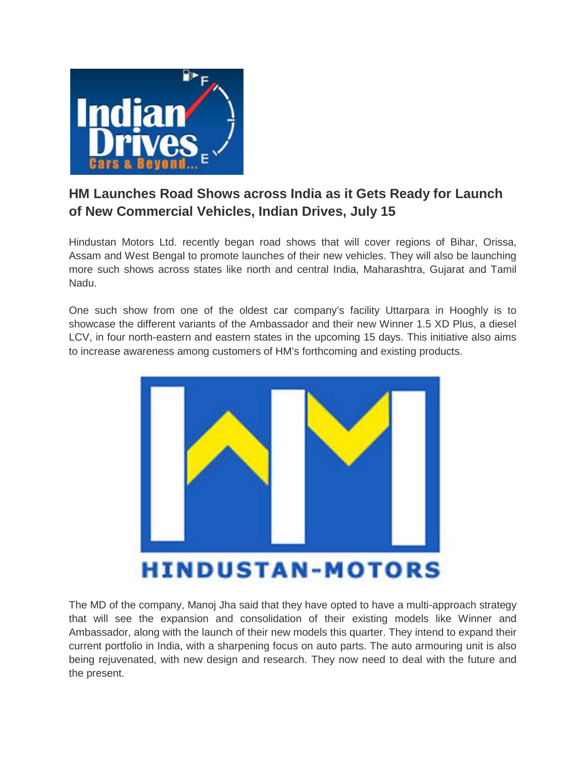

## **HM Launches Road Shows across India as it Gets Ready for Launch of New Commercial Vehicles, Indian Drives, July 15**

Hindustan Motors Ltd. recently began road shows that will cover regions of Bihar, Orissa, Assam and West Bengal to promote launches of their new vehicles. They will also be launching more such shows across states like north and central India, Maharashtra, Gujarat and Tamil Nadu.

One such show from one of the oldest car company's facility Uttarpara in Hooghly is to showcase the different variants of the Ambassador and their new Winner 1.5 XD Plus, a diesel LCV, in four north-eastern and eastern states in the upcoming 15 days. This initiative also aims to increase awareness among customers of HM's forthcoming and existing products.



The MD of the company, Manoj Jha said that they have opted to have a multi-approach strategy that will see the expansion and consolidation of their existing models like Winner and Ambassador, along with the launch of their new models this quarter. They intend to expand their current portfolio in India, with a sharpening focus on auto parts. The auto armouring unit is also being rejuvenated, with new design and research. They now need to deal with the future and the present.